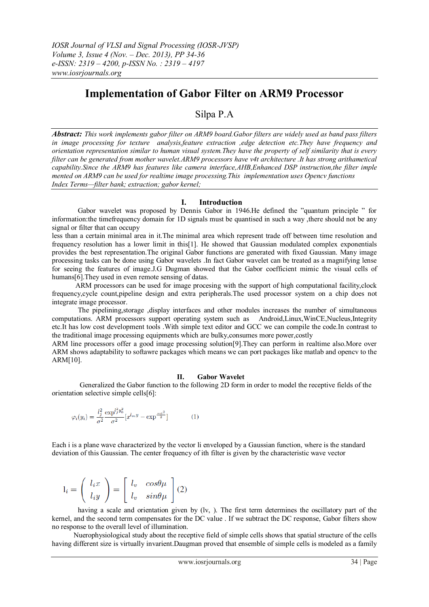# **Implementation of Gabor Filter on ARM9 Processor**

# Silpa P.A

*Abstract: This work implements gabor filter on ARM9 board.Gabor filters are widely used as band pass filters in image processing for texture analysis,feature extraction ,edge detection etc.They have frequency and orientation representation similar to human visual system.They have the property of self similarity that is every filter can be generated from mother wavelet.ARM9 processors have v4t architecture .It has strong arithametical capability.Since the ARM9 has features like camera interface,AHB,Enhanced DSP instruction,the filter imple mented on ARM9 can be used for realtime image processing.This implementation uses Opencv functions Index Terms—filter bank; extraction; gabor kernel;*

# **I. Introduction**

Gabor wavelet was proposed by Dennis Gabor in 1946.He defined the "quantum principle " for information:the timefrequency domain for 1D signals must be quantised in such a way ,there should not be any signal or filter that can occupy

less than a certain minimal area in it.The minimal area which represent trade off between time resolution and frequency resolution has a lower limit in this[1]. He showed that Gaussian modulated complex exponentials provides the best representation.The original Gabor functions are generated with fixed Gaussian. Many image processing tasks can be done using Gabor wavelets .In fact Gabor wavelet can be treated as a magnifying lense for seeing the features of image.J.G Dugman showed that the Gabor coefficient mimic the visual cells of humans[6]. They used in even remote sensing of datas.

 ARM processors can be used for image procesing with the support of high computational facility,clock frequency,cycle count,pipeline design and extra peripherals.The used processor system on a chip does not integrate image processor.

The pipelining,storage ,display interfaces and other modules increases the number of simultaneous computations. ARM processors support operating system such as Android,Linux,WinCE,Nucleus,Integrity etc.It has low cost development tools .With simple text editor and GCC we can compile the code.In contrast to the traditional image processing equipments which are bulky,consumes more power,costly

ARM line processors offer a good image processing solution[9].They can perform in realtime also.More over ARM shows adaptability to softawre packages which means we can port packages like matlab and opencv to the ARM[10].

## **II. Gabor Wavelet**

Generalized the Gabor function to the following 2D form in order to model the receptive fields of the orientation selective simple cells[6]:

$$
\varphi_i(y_i) = \frac{l_j^2}{\sigma^2} \frac{\exp^{l_j^2 y_0^2}}{\sigma^2} [x^{l_m y} - \exp^{\frac{-\sigma^2}{2}}] \tag{1}
$$

Each i is a plane wave characterized by the vector li enveloped by a Gaussian function, where is the standard deviation of this Gaussian. The center frequency of ith filter is given by the characteristic wave vector

$$
l_i = \begin{pmatrix} l_i x \\ l_i y \end{pmatrix} = \begin{bmatrix} l_v & cos \theta \mu \\ l_v & sin \theta \mu \end{bmatrix} (2)
$$

having a scale and orientation given by (lv, ). The first term determines the oscillatory part of the kernel, and the second term compensates for the DC value . If we subtract the DC response, Gabor filters show no response to the overall level of illumination.

 Nuerophysiological study about the receptive field of simple cells shows that spatial structure of the cells having different size is virtually invarient.Daugman proved that ensemble of simple cells is modeled as a family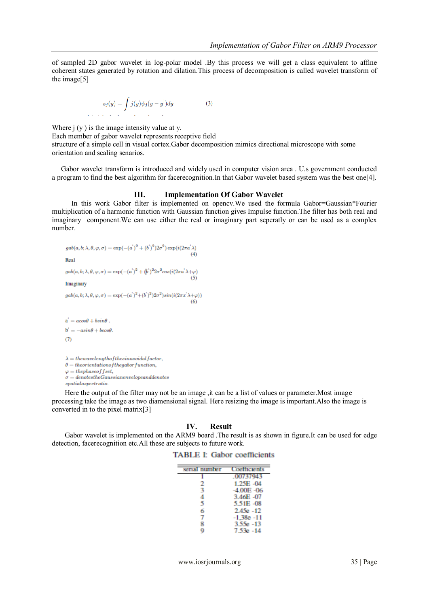of sampled 2D gabor wavelet in log-polar model .By this process we will get a class equivalent to affine coherent states generated by rotation and dilation.This process of decomposition is called wavelet transform of the image[5]

$$
s_j(y) = \int j(y)\psi_j(y-y^{\parallel})dy
$$
 (3)

Where  $j(y)$  is the image intensity value at y. Each member of gabor wavelet represents receptive field structure of a simple cell in visual cortex.Gabor decomposition mimics directional microscope with some orientation and scaling senarios.

 Gabor wavelet transform is introduced and widely used in computer vision area . U.s government conducted a program to find the best algorithm for facerecognition.In that Gabor wavelet based system was the best one[4].

# **III. Implementation Of Gabor Wavelet**

In this work Gabor filter is implemented on opencv.We used the formula Gabor=Gaussian\*Fourier multiplication of a harmonic function with Gaussian function gives Impulse function.The filter has both real and imaginary component.We can use either the real or imaginary part seperatly or can be used as a complex number.

```
\mathit{gab}(a,b;\lambda,\theta,\varphi,\sigma)=\exp(-(a^{'})^2+(b^{'})^2)2\sigma^2)\exp(i(2\pi a^{'}\lambda)Real
\operatorname{gab}(a,b;\lambda,\theta,\varphi,\sigma)=\exp(-(a^{'})^{2}+(\not b^{'})^{2}2\sigma^{2}\cos(i(2\pi a^{'}\lambda+\varphi)Imaginary
\mathit{gab}(a,b;\lambda,\theta,\varphi,\sigma)=\exp(-(a^{'})^2+(b^{'})^2)2\sigma^2)\sin(i(2\pi x^{'}\lambda+\varphi))\mathbf{a}^{\mathbf{i}} = a cos \theta + b sin \theta.
b^i = -a sin\theta + b cos\theta.(7)\lambda = the wavelength of the sinusoidal factor,\theta = the orientation of the gabor function,\varphi = the phase of f set,
```
 $\sigma = denotes the Gaussian envelope and denotes$ 

 $spatial aspect ratio.$ 

Here the output of the filter may not be an image, it can be a list of values or parameter. Most image processing take the image as two diamensional signal. Here resizing the image is important.Also the image is converted in to the pixel matrix[3]

#### **IV. Result**

Gabor wavelet is implemented on the ARM9 board .The result is as shown in figure.It can be used for edge detection, facerecognition etc.All these are subjects to future work.

## **TABLE I: Gabor coefficients**

| serial number | <b>Coefficients</b> |
|---------------|---------------------|
|               | .00737943           |
| 2             | 1.25E-04            |
| 3             | $-4.00E -06$        |
| 4             | 3.46E -07           |
| 5             | 5.51E -08           |
| 6             | $2.45e - 12$        |
| 7             | $-1.38e - 11$       |
|               | $3.55e - 13$        |
| a             | 7.53a -14           |